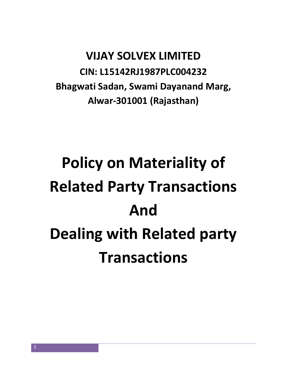## **VIJAY SOLVEX LIMITED CIN: L15142RJ1987PLC004232 Bhagwati Sadan, Swami Dayanand Marg, Alwar-301001 (Rajasthan)**

# **Policy on Materiality of Related Party Transactions And Dealing with Related party Transactions**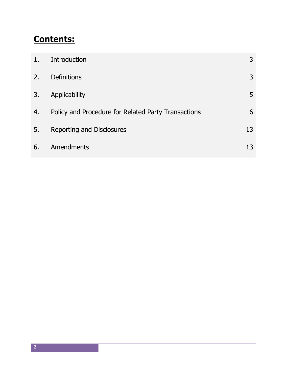### **Contents:**

| 1.7 | Introduction                                        | 3  |
|-----|-----------------------------------------------------|----|
| 2.  | <b>Definitions</b>                                  | 3  |
| 3.  | Applicability                                       | 5  |
| 4.  | Policy and Procedure for Related Party Transactions | 6  |
| 5.  | Reporting and Disclosures                           | 13 |
| 6.  | Amendments                                          | 13 |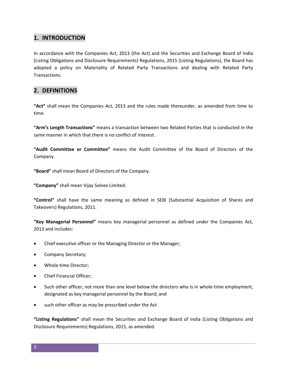#### **1. INTRODUCTION**

In accordance with the Companies Act, 2013 (the Act) and the Securities and Exchange Board of India (Listing Obligations and Disclosure Requirements) Regulations, 2015 (Listing Regulations), the Board has adopted a policy on Materiality of Related Party Transactions and dealing with Related Party Transactions.

#### **2. DEFINITIONS**

**"Act"** shall mean the Companies Act, 2013 and the rules made thereunder, as amended from time to time.

**"Arm's Length Transactions"** means a transaction between two Related Parties that is conducted in the same manner in which that there is no conflict of interest.

**"Audit Committee or Committee"** means the Audit Committee of the Board of Directors of the Company.

**"Board"** shall mean Board of Directors of the Company.

**"Company"** shall mean Vijay Solvex Limited.

**"Control"** shall have the same meaning as defined in SEBI (Substantial Acquisition of Shares and Takeovers) Regulations, 2011.

**"Key Managerial Personnel"** means key managerial personnel as defined under the Companies Act, 2013 and includes:

- Chief executive officer or the Managing Director or the Manager;
- Company Secretary;
- Whole-time Director;
- Chief Financial Officer;
- Such other officer, not more than one level below the directors who is in whole-time employment, designated as key managerial personnel by the Board; and
- such other officer as may be prescribed under the Act

**"Listing Regulations"** shall mean the Securities and Exchange Board of India (Listing Obligations and Disclosure Requirements) Regulations, 2015, as amended.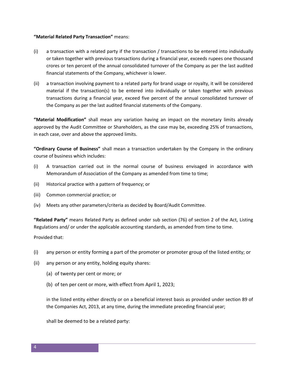#### **"Material Related Party Transaction"** means:

- (i) a transaction with a related party if the transaction / transactions to be entered into individually or taken together with previous transactions during a financial year, exceeds rupees one thousand crores or ten percent of the annual consolidated turnover of the Company as per the last audited financial statements of the Company, whichever is lower.
- (ii) a transaction involving payment to a related party for brand usage or royalty, it will be considered material if the transaction(s) to be entered into individually or taken together with previous transactions during a financial year, exceed five percent of the annual consolidated turnover of the Company as per the last audited financial statements of the Company.

**"Material Modification"** shall mean any variation having an impact on the monetary limits already approved by the Audit Committee or Shareholders, as the case may be, exceeding 25% of transactions, in each case, over and above the approved limits.

**"Ordinary Course of Business"** shall mean a transaction undertaken by the Company in the ordinary course of business which includes:

- (i) A transaction carried out in the normal course of business envisaged in accordance with Memorandum of Association of the Company as amended from time to time;
- (ii) Historical practice with a pattern of frequency; or
- (iii) Common commercial practice; or
- (iv) Meets any other parameters/criteria as decided by Board/Audit Committee.

**"Related Party"** means Related Party as defined under sub section (76) of section 2 of the Act, Listing Regulations and/ or under the applicable accounting standards, as amended from time to time.

Provided that:

- (i) any person or entity forming a part of the promoter or promoter group of the listed entity; or
- (ii) any person or any entity, holding equity shares:
	- (a) of twenty per cent or more; or
	- (b) of ten per cent or more, with effect from April 1, 2023;

in the listed entity either directly or on a beneficial interest basis as provided under section 89 of the Companies Act, 2013, at any time, during the immediate preceding financial year;

shall be deemed to be a related party: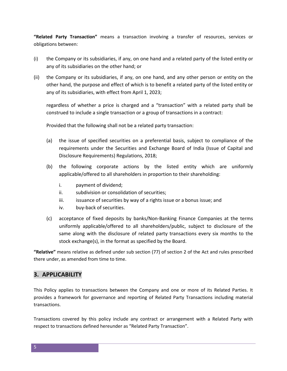**"Related Party Transaction"** means a transaction involving a transfer of resources, services or obligations between:

- (i) the Company or its subsidiaries, if any, on one hand and a related party of the listed entity or any of its subsidiaries on the other hand; or
- (ii) the Company or its subsidiaries, if any, on one hand, and any other person or entity on the other hand, the purpose and effect of which is to benefit a related party of the listed entity or any of its subsidiaries, with effect from April 1, 2023;

regardless of whether a price is charged and a "transaction" with a related party shall be construed to include a single transaction or a group of transactions in a contract:

Provided that the following shall not be a related party transaction:

- (a) the issue of specified securities on a preferential basis, subject to compliance of the requirements under the Securities and Exchange Board of India (Issue of Capital and Disclosure Requirements) Regulations, 2018;
- (b) the following corporate actions by the listed entity which are uniformly applicable/offered to all shareholders in proportion to their shareholding:
	- i. payment of dividend;
	- ii. subdivision or consolidation of securities;
	- iii. issuance of securities by way of a rights issue or a bonus issue; and
	- iv. buy-back of securities.
- (c) acceptance of fixed deposits by banks/Non-Banking Finance Companies at the terms uniformly applicable/offered to all shareholders/public, subject to disclosure of the same along with the disclosure of related party transactions every six months to the stock exchange(s), in the format as specified by the Board.

**"Relative"** means relative as defined under sub section (77) of section 2 of the Act and rules prescribed there under, as amended from time to time.

#### **3. APPLICABILITY**

This Policy applies to transactions between the Company and one or more of its Related Parties. It provides a framework for governance and reporting of Related Party Transactions including material transactions.

Transactions covered by this policy include any contract or arrangement with a Related Party with respect to transactions defined hereunder as "Related Party Transaction".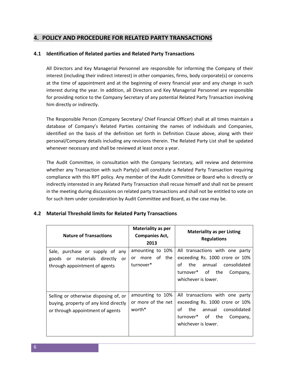#### **4. POLICY AND PROCEDURE FOR RELATED PARTY TRANSACTIONS**

#### **4.1 Identification of Related parties and Related Party Transactions**

All Directors and Key Managerial Personnel are responsible for informing the Company of their interest (including their indirect interest) in other companies, firms, body corporate(s) or concerns at the time of appointment and at the beginning of every financial year and any change in such interest during the year. In addition, all Directors and Key Managerial Personnel are responsible for providing notice to the Company Secretary of any potential Related Party Transaction involving him directly or indirectly.

The Responsible Person (Company Secretary/ Chief Financial Officer) shall at all times maintain a database of Company's Related Parties containing the names of individuals and Companies, identified on the basis of the definition set forth in Definition Clause above, along with their personal/Company details including any revisions therein. The Related Party List shall be updated whenever necessary and shall be reviewed at least once a year.

The Audit Committee, in consultation with the Company Secretary, will review and determine whether any Transaction with such Party(s) will constitute a Related Party Transaction requiring compliance with this RPT policy. Any member of the Audit Committee or Board who is directly or indirectly interested in any Related Party Transaction shall recuse himself and shall not be present in the meeting during discussions on related party transactions and shall not be entitled to vote on for such item under consideration by Audit Committee and Board, as the case may be.

#### **4.2 Material Threshold limits for Related Party Transactions**

| <b>Nature of Transactions</b>                                                                                      | <b>Materiality as per</b><br><b>Companies Act,</b><br>2013 | <b>Materiality as per Listing</b><br><b>Regulations</b>                                                                                                          |
|--------------------------------------------------------------------------------------------------------------------|------------------------------------------------------------|------------------------------------------------------------------------------------------------------------------------------------------------------------------|
| Sale, purchase or supply of any<br>or materials directly<br>goods<br>or<br>through appointment of agents           | amounting to 10%<br>of the<br>more<br>or<br>turnover*      | All transactions with one party<br>exceeding Rs. 1000 crore or 10%<br>οf<br>the<br>annual consolidated<br>turnover* of the<br>Company,<br>whichever is lower.    |
| Selling or otherwise disposing of, or<br>buying, property of any kind directly<br>or through appointment of agents | amounting to 10%<br>or more of the net<br>worth*           | All transactions with one party<br>exceeding Rs. 1000 crore or 10%<br>of<br>annual<br>consolidated<br>the<br>turnover* of the<br>Company,<br>whichever is lower. |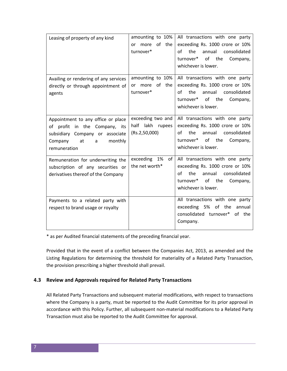| Leasing of property of any kind                                                                                                                         | amounting to 10%<br>of the<br>more<br>or<br>turnover*  | All transactions with one party<br>exceeding Rs. 1000 crore or 10%<br>the<br>annual consolidated<br>οf<br>turnover* of the<br>Company,<br>whichever is lower.    |
|---------------------------------------------------------------------------------------------------------------------------------------------------------|--------------------------------------------------------|------------------------------------------------------------------------------------------------------------------------------------------------------------------|
| Availing or rendering of any services<br>directly or through appointment of<br>agents                                                                   | amounting to 10%<br>or more of the<br>turnover*        | All transactions with one party<br>exceeding Rs. 1000 crore or 10%<br>the<br>annual<br>consolidated<br>Ωf<br>turnover* of the<br>Company,<br>whichever is lower. |
| Appointment to any office or place<br>of profit in the Company, its<br>subsidiary Company or associate<br>Company<br>monthly<br>at<br>a<br>remuneration | exceeding two and<br>half lakh rupees<br>(Rs.2,50,000) | All transactions with one party<br>exceeding Rs. 1000 crore or 10%<br>the<br>οf<br>annual<br>consolidated<br>turnover* of the<br>Company,<br>whichever is lower. |
| Remuneration for underwriting the<br>subscription of any securities or<br>derivatives thereof of the Company                                            | exceeding 1%<br>of <sub>l</sub><br>the net worth*      | All transactions with one party<br>exceeding Rs. 1000 crore or 10%<br>the<br>annual<br>consolidated<br>οf<br>turnover* of the<br>Company,<br>whichever is lower. |
| Payments to a related party with<br>respect to brand usage or royalty                                                                                   |                                                        | All transactions with one party<br>exceeding 5% of the<br>annual<br>consolidated turnover*<br>of the<br>Company.                                                 |

\* as per Audited financial statements of the preceding financial year.

Provided that in the event of a conflict between the Companies Act, 2013, as amended and the Listing Regulations for determining the threshold for materiality of a Related Party Transaction, the provision prescribing a higher threshold shall prevail.

#### **4.3 Review and Approvals required for Related Party Transactions**

All Related Party Transactions and subsequent material modifications, with respect to transactions where the Company is a party, must be reported to the Audit Committee for its prior approval in accordance with this Policy. Further, all subsequent non-material modifications to a Related Party Transaction must also be reported to the Audit Committee for approval.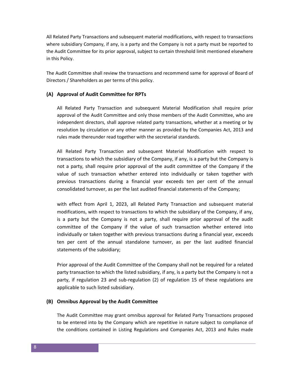All Related Party Transactions and subsequent material modifications, with respect to transactions where subsidiary Company, if any, is a party and the Company is not a party must be reported to the Audit Committee for its prior approval, subject to certain threshold limit mentioned elsewhere in this Policy.

The Audit Committee shall review the transactions and recommend same for approval of Board of Directors / Shareholders as per terms of this policy.

#### **(A) Approval of Audit Committee for RPTs**

All Related Party Transaction and subsequent Material Modification shall require prior approval of the Audit Committee and only those members of the Audit Committee, who are independent directors, shall approve related party transactions, whether at a meeting or by resolution by circulation or any other manner as provided by the Companies Act, 2013 and rules made thereunder read together with the secretarial standards.

All Related Party Transaction and subsequent Material Modification with respect to transactions to which the subsidiary of the Company, if any, is a party but the Company is not a party, shall require prior approval of the audit committee of the Company if the value of such transaction whether entered into individually or taken together with previous transactions during a financial year exceeds ten per cent of the annual consolidated turnover, as per the last audited financial statements of the Company;

with effect from April 1, 2023, all Related Party Transaction and subsequent material modifications, with respect to transactions to which the subsidiary of the Company, if any, is a party but the Company is not a party, shall require prior approval of the audit committee of the Company if the value of such transaction whether entered into individually or taken together with previous transactions during a financial year, exceeds ten per cent of the annual standalone turnover, as per the last audited financial statements of the subsidiary;

Prior approval of the Audit Committee of the Company shall not be required for a related party transaction to which the listed subsidiary, if any, is a party but the Company is not a party, if regulation 23 and sub-regulation (2) of regulation 15 of these regulations are applicable to such listed subsidiary.

#### **(B) Omnibus Approval by the Audit Committee**

The Audit Committee may grant omnibus approval for Related Party Transactions proposed to be entered into by the Company which are repetitive in nature subject to compliance of the conditions contained in Listing Regulations and Companies Act, 2013 and Rules made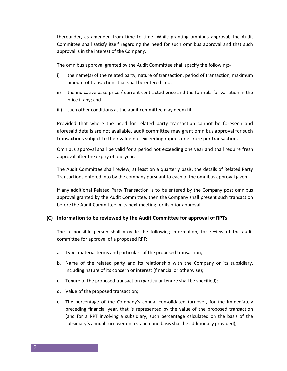thereunder, as amended from time to time. While granting omnibus approval, the Audit Committee shall satisfy itself regarding the need for such omnibus approval and that such approval is in the interest of the Company.

The omnibus approval granted by the Audit Committee shall specify the following:-

- i) the name(s) of the related party, nature of transaction, period of transaction, maximum amount of transactions that shall be entered into;
- ii) the indicative base price / current contracted price and the formula for variation in the price if any; and
- iii) such other conditions as the audit committee may deem fit:

Provided that where the need for related party transaction cannot be foreseen and aforesaid details are not available, audit committee may grant omnibus approval for such transactions subject to their value not exceeding rupees one crore per transaction.

Omnibus approval shall be valid for a period not exceeding one year and shall require fresh approval after the expiry of one year.

The Audit Committee shall review, at least on a quarterly basis, the details of Related Party Transactions entered into by the company pursuant to each of the omnibus approval given.

If any additional Related Party Transaction is to be entered by the Company post omnibus approval granted by the Audit Committee, then the Company shall present such transaction before the Audit Committee in its next meeting for its prior approval.

#### **(C) Information to be reviewed by the Audit Committee for approval of RPTs**

The responsible person shall provide the following information, for review of the audit committee for approval of a proposed RPT:

- a. Type, material terms and particulars of the proposed transaction;
- b. Name of the related party and its relationship with the Company or its subsidiary, including nature of its concern or interest (financial or otherwise);
- c. Tenure of the proposed transaction (particular tenure shall be specified);
- d. Value of the proposed transaction;
- e. The percentage of the Company's annual consolidated turnover, for the immediately preceding financial year, that is represented by the value of the proposed transaction (and for a RPT involving a subsidiary, such percentage calculated on the basis of the subsidiary's annual turnover on a standalone basis shall be additionally provided);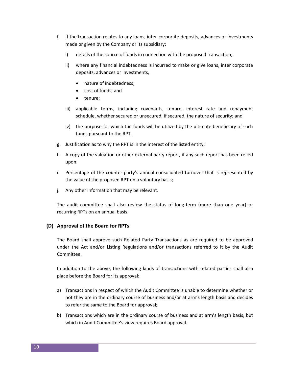- f. If the transaction relates to any loans, inter-corporate deposits, advances or investments made or given by the Company or its subsidiary:
	- i) details of the source of funds in connection with the proposed transaction;
	- ii) where any financial indebtedness is incurred to make or give loans, inter corporate deposits, advances or investments,
		- nature of indebtedness;
		- cost of funds; and
		- tenure;
	- iii) applicable terms, including covenants, tenure, interest rate and repayment schedule, whether secured or unsecured; if secured, the nature of security; and
	- iv) the purpose for which the funds will be utilized by the ultimate beneficiary of such funds pursuant to the RPT.
- g. Justification as to why the RPT is in the interest of the listed entity;
- h. A copy of the valuation or other external party report, if any such report has been relied upon;
- i. Percentage of the counter-party's annual consolidated turnover that is represented by the value of the proposed RPT on a voluntary basis;
- j. Any other information that may be relevant.

The audit committee shall also review the status of long-term (more than one year) or recurring RPTs on an annual basis.

#### **(D) Approval of the Board for RPTs**

The Board shall approve such Related Party Transactions as are required to be approved under the Act and/or Listing Regulations and/or transactions referred to it by the Audit Committee.

In addition to the above, the following kinds of transactions with related parties shall also place before the Board for its approval:

- a) Transactions in respect of which the Audit Committee is unable to determine whether or not they are in the ordinary course of business and/or at arm's length basis and decides to refer the same to the Board for approval;
- b) Transactions which are in the ordinary course of business and at arm's length basis, but which in Audit Committee's view requires Board approval.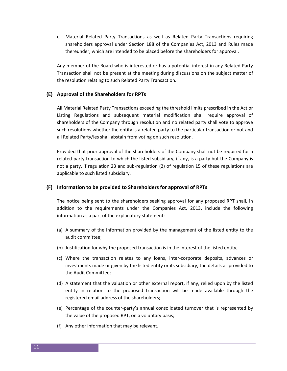c) Material Related Party Transactions as well as Related Party Transactions requiring shareholders approval under Section 188 of the Companies Act, 2013 and Rules made thereunder, which are intended to be placed before the shareholders for approval.

Any member of the Board who is interested or has a potential interest in any Related Party Transaction shall not be present at the meeting during discussions on the subject matter of the resolution relating to such Related Party Transaction.

#### **(E) Approval of the Shareholders for RPTs**

All Material Related Party Transactions exceeding the threshold limits prescribed in the Act or Listing Regulations and subsequent material modification shall require approval of shareholders of the Company through resolution and no related party shall vote to approve such resolutions whether the entity is a related party to the particular transaction or not and all Related Party/ies shall abstain from voting on such resolution.

Provided that prior approval of the shareholders of the Company shall not be required for a related party transaction to which the listed subsidiary, if any, is a party but the Company is not a party, if regulation 23 and sub-regulation (2) of regulation 15 of these regulations are applicable to such listed subsidiary.

#### **(F) Information to be provided to Shareholders for approval of RPTs**

The notice being sent to the shareholders seeking approval for any proposed RPT shall, in addition to the requirements under the Companies Act, 2013, include the following information as a part of the explanatory statement:

- (a) A summary of the information provided by the management of the listed entity to the audit committee;
- (b) Justification for why the proposed transaction is in the interest of the listed entity;
- (c) Where the transaction relates to any loans, inter-corporate deposits, advances or investments made or given by the listed entity or its subsidiary, the details as provided to the Audit Committee;
- (d) A statement that the valuation or other external report, if any, relied upon by the listed entity in relation to the proposed transaction will be made available through the registered email address of the shareholders;
- (e) Percentage of the counter-party's annual consolidated turnover that is represented by the value of the proposed RPT, on a voluntary basis;
- (f) Any other information that may be relevant.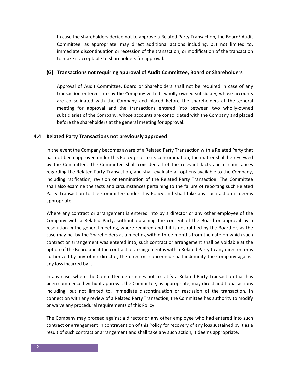In case the shareholders decide not to approve a Related Party Transaction, the Board/ Audit Committee, as appropriate, may direct additional actions including, but not limited to, immediate discontinuation or recession of the transaction, or modification of the transaction to make it acceptable to shareholders for approval.

#### **(G) Transactions not requiring approval of Audit Committee, Board or Shareholders**

Approval of Audit Committee, Board or Shareholders shall not be required in case of any transaction entered into by the Company with its wholly owned subsidiary, whose accounts are consolidated with the Company and placed before the shareholders at the general meeting for approval and the transactions entered into between two wholly-owned subsidiaries of the Company, whose accounts are consolidated with the Company and placed before the shareholders at the general meeting for approval.

#### **4.4 Related Party Transactions not previously approved**

In the event the Company becomes aware of a Related Party Transaction with a Related Party that has not been approved under this Policy prior to its consummation, the matter shall be reviewed by the Committee. The Committee shall consider all of the relevant facts and circumstances regarding the Related Party Transaction, and shall evaluate all options available to the Company, including ratification, revision or termination of the Related Party Transaction. The Committee shall also examine the facts and circumstances pertaining to the failure of reporting such Related Party Transaction to the Committee under this Policy and shall take any such action it deems appropriate.

Where any contract or arrangement is entered into by a director or any other employee of the Company with a Related Party, without obtaining the consent of the Board or approval by a resolution in the general meeting, where required and if it is not ratified by the Board or, as the case may be, by the Shareholders at a meeting within three months from the date on which such contract or arrangement was entered into, such contract or arrangement shall be voidable at the option of the Board and if the contract or arrangement is with a Related Party to any director, or is authorized by any other director, the directors concerned shall indemnify the Company against any loss incurred by it.

In any case, where the Committee determines not to ratify a Related Party Transaction that has been commenced without approval, the Committee, as appropriate, may direct additional actions including, but not limited to, immediate discontinuation or rescission of the transaction. In connection with any review of a Related Party Transaction, the Committee has authority to modify or waive any procedural requirements of this Policy.

The Company may proceed against a director or any other employee who had entered into such contract or arrangement in contravention of this Policy for recovery of any loss sustained by it as a result of such contract or arrangement and shall take any such action, it deems appropriate.